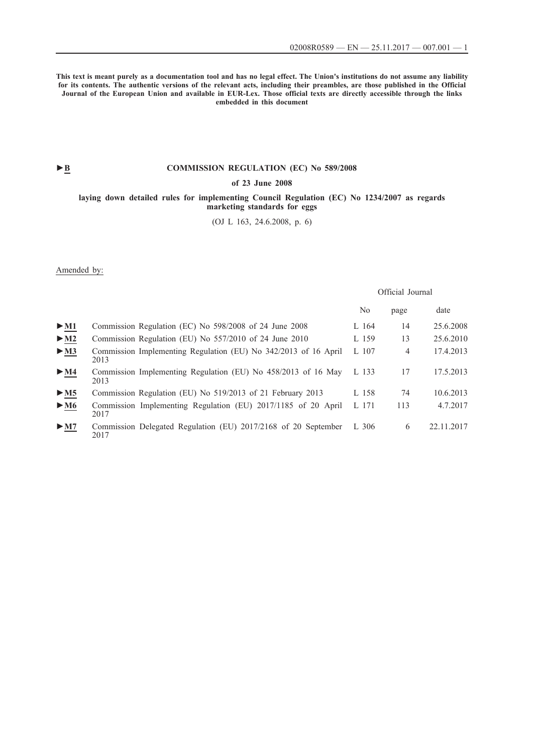**This text is meant purely as a documentation tool and has no legal effect. The Union's institutions do not assume any liability for its contents. The authentic versions of the relevant acts, including their preambles, are those published in the Official Journal of the European Union and available in EUR-Lex. Those official texts are directly accessible through the links embedded in this document**

## **►B [COMMISSION REGULATION \(EC\) No 589/2008](http://data.europa.eu/eli/reg/2008/589/oj/eng)**

### **[of 23 June 2008](http://data.europa.eu/eli/reg/2008/589/oj/eng)**

### **[laying down detailed rules for implementing Council Regulation \(EC\) No 1234/2007 as regards](http://data.europa.eu/eli/reg/2008/589/oj/eng) [marketing standards for eggs](http://data.europa.eu/eli/reg/2008/589/oj/eng)**

[\(OJ L 163, 24.6.2008, p. 6\)](http://data.europa.eu/eli/reg/2008/589/oj/eng)

Amended by:

## Official Journal

|                                 |                                                                         | No    | page           | date       |
|---------------------------------|-------------------------------------------------------------------------|-------|----------------|------------|
| $\triangleright$ M1             | Commission Regulation (EC) No 598/2008 of 24 June 2008                  | L 164 | 14             | 25.6.2008  |
| $\blacktriangleright$ <u>M2</u> | Commission Regulation (EU) No 557/2010 of 24 June 2010                  | L 159 | 13             | 25.6.2010  |
| $\blacktriangleright$ <u>M3</u> | Commission Implementing Regulation (EU) No 342/2013 of 16 April<br>2013 | L 107 | $\overline{4}$ | 17.4.2013  |
| $\blacktriangleright$ <u>M4</u> | Commission Implementing Regulation (EU) No 458/2013 of 16 May<br>2013   | L 133 | 17             | 17.5.2013  |
| $\triangleright$ <u>M5</u>      | Commission Regulation (EU) No 519/2013 of 21 February 2013              | L 158 | 74             | 10.6.2013  |
| $\blacktriangleright$ M6        | Commission Implementing Regulation (EU) 2017/1185 of 20 April<br>2017   | L 171 | 113            | 4.7.2017   |
| $\blacktriangleright$ M7        | Commission Delegated Regulation (EU) 2017/2168 of 20 September<br>2017  | L 306 | 6              | 22.11.2017 |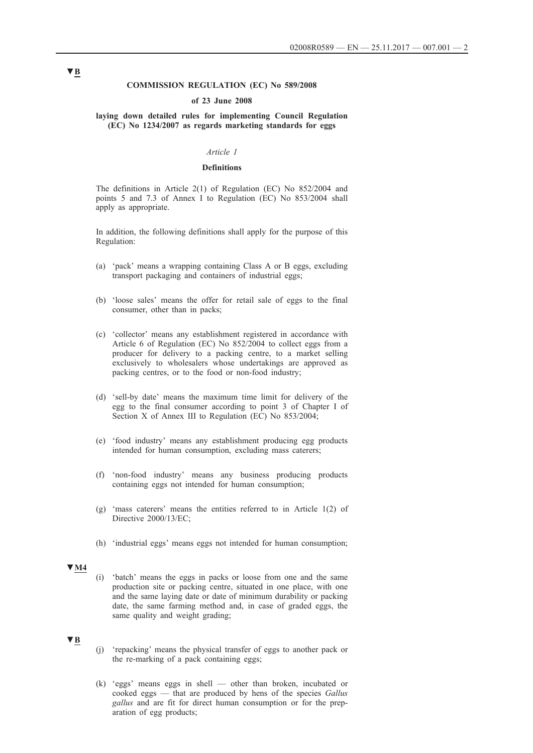### **COMMISSION REGULATION (EC) No 589/2008**

### **of 23 June 2008**

### **laying down detailed rules for implementing Council Regulation (EC) No 1234/2007 as regards marketing standards for eggs**

### *Article 1*

#### **Definitions**

The definitions in Article 2(1) of Regulation (EC) No 852/2004 and points 5 and 7.3 of Annex I to Regulation (EC) No 853/2004 shall apply as appropriate.

In addition, the following definitions shall apply for the purpose of this Regulation:

- (a) 'pack' means a wrapping containing Class A or B eggs, excluding transport packaging and containers of industrial eggs;
- (b) 'loose sales' means the offer for retail sale of eggs to the final consumer, other than in packs;
- (c) 'collector' means any establishment registered in accordance with Article 6 of Regulation (EC) No 852/2004 to collect eggs from a producer for delivery to a packing centre, to a market selling exclusively to wholesalers whose undertakings are approved as packing centres, or to the food or non-food industry;
- (d) 'sell-by date' means the maximum time limit for delivery of the egg to the final consumer according to point 3 of Chapter I of Section X of Annex III to Regulation (EC) No 853/2004;
- (e) 'food industry' means any establishment producing egg products intended for human consumption, excluding mass caterers;
- (f) 'non-food industry' means any business producing products containing eggs not intended for human consumption;
- (g) 'mass caterers' means the entities referred to in Article 1(2) of Directive 2000/13/EC;
- (h) 'industrial eggs' means eggs not intended for human consumption;

### **▼M4**

(i) 'batch' means the eggs in packs or loose from one and the same production site or packing centre, situated in one place, with one and the same laying date or date of minimum durability or packing date, the same farming method and, in case of graded eggs, the same quality and weight grading;

## **▼B**

- (j) 'repacking' means the physical transfer of eggs to another pack or the re-marking of a pack containing eggs;
- (k) 'eggs' means eggs in shell other than broken, incubated or cooked eggs — that are produced by hens of the species *Gallus gallus* and are fit for direct human consumption or for the preparation of egg products;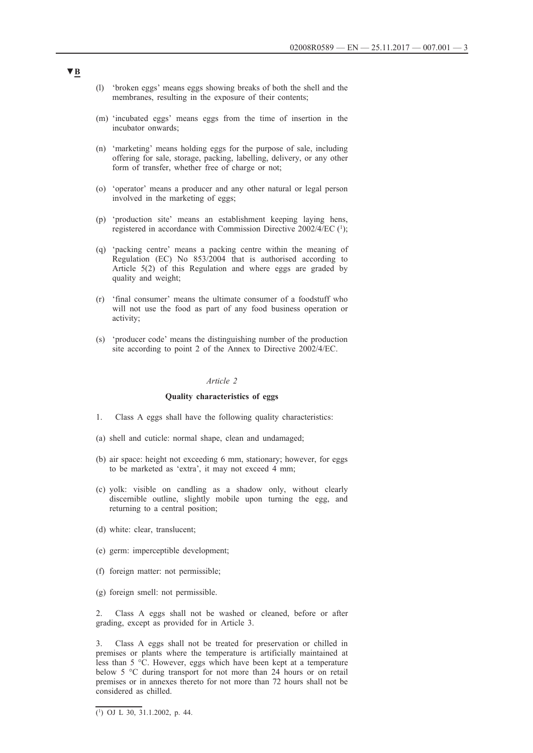- (l) 'broken eggs' means eggs showing breaks of both the shell and the membranes, resulting in the exposure of their contents;
- (m) 'incubated eggs' means eggs from the time of insertion in the incubator onwards;
- (n) 'marketing' means holding eggs for the purpose of sale, including offering for sale, storage, packing, labelling, delivery, or any other form of transfer, whether free of charge or not;
- (o) 'operator' means a producer and any other natural or legal person involved in the marketing of eggs;
- (p) 'production site' means an establishment keeping laying hens, registered in accordance with Commission Directive 2002/4/EC (1);
- (q) 'packing centre' means a packing centre within the meaning of Regulation (EC) No 853/2004 that is authorised according to Article 5(2) of this Regulation and where eggs are graded by quality and weight;
- (r) 'final consumer' means the ultimate consumer of a foodstuff who will not use the food as part of any food business operation or activity;
- (s) 'producer code' means the distinguishing number of the production site according to point 2 of the Annex to Directive 2002/4/EC.

### **Quality characteristics of eggs**

- 1. Class A eggs shall have the following quality characteristics:
- (a) shell and cuticle: normal shape, clean and undamaged;
- (b) air space: height not exceeding 6 mm, stationary; however, for eggs to be marketed as 'extra', it may not exceed 4 mm;
- (c) yolk: visible on candling as a shadow only, without clearly discernible outline, slightly mobile upon turning the egg, and returning to a central position;
- (d) white: clear, translucent;
- (e) germ: imperceptible development;
- (f) foreign matter: not permissible;
- (g) foreign smell: not permissible.

2. Class A eggs shall not be washed or cleaned, before or after grading, except as provided for in Article 3.

3. Class A eggs shall not be treated for preservation or chilled in premises or plants where the temperature is artificially maintained at less than 5 °C. However, eggs which have been kept at a temperature below 5 °C during transport for not more than 24 hours or on retail premises or in annexes thereto for not more than 72 hours shall not be considered as chilled.

 $\overline{(^1)$  OJ L 30, 31.1.2002, p. 44.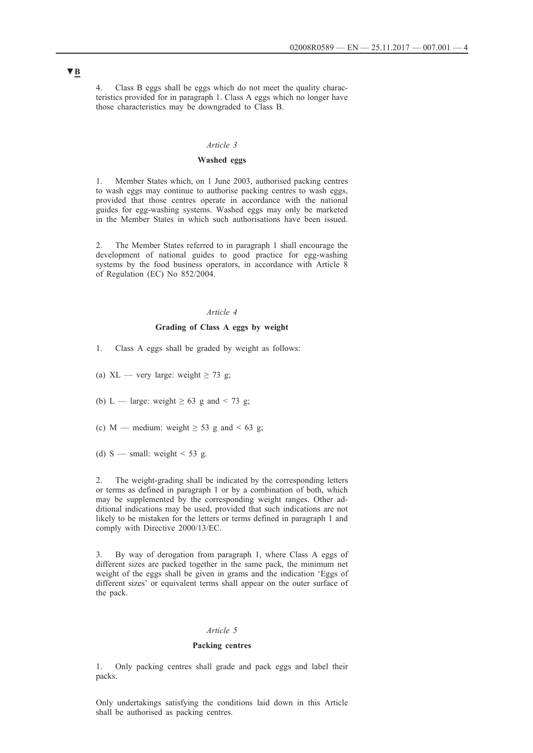4. Class B eggs shall be eggs which do not meet the quality characteristics provided for in paragraph 1. Class A eggs which no longer have those characteristics may be downgraded to Class B.

### *Article 3*

### **Washed eggs**

1. Member States which, on 1 June 2003, authorised packing centres to wash eggs may continue to authorise packing centres to wash eggs, provided that those centres operate in accordance with the national guides for egg-washing systems. Washed eggs may only be marketed in the Member States in which such authorisations have been issued.

2. The Member States referred to in paragraph 1 shall encourage the development of national guides to good practice for egg-washing systems by the food business operators, in accordance with Article 8 of Regulation (EC) No 852/2004.

### *Article 4*

## **Grading of Class A eggs by weight**

1. Class A eggs shall be graded by weight as follows:

(a) XL — very large: weight  $\geq$  73 g;

(b) L — large: weight  $\geq 63$  g and  $\leq 73$  g;

(c) M — medium: weight  $\geq$  53 g and < 63 g;

(d) S — small: weight  $\leq 53$  g.

2. The weight-grading shall be indicated by the corresponding letters or terms as defined in paragraph 1 or by a combination of both, which may be supplemented by the corresponding weight ranges. Other additional indications may be used, provided that such indications are not likely to be mistaken for the letters or terms defined in paragraph 1 and comply with Directive 2000/13/EC.

3. By way of derogation from paragraph 1, where Class A eggs of different sizes are packed together in the same pack, the minimum net weight of the eggs shall be given in grams and the indication 'Eggs of different sizes' or equivalent terms shall appear on the outer surface of the pack.

### *Article 5*

#### **Packing centres**

1. Only packing centres shall grade and pack eggs and label their packs.

Only undertakings satisfying the conditions laid down in this Article shall be authorised as packing centres.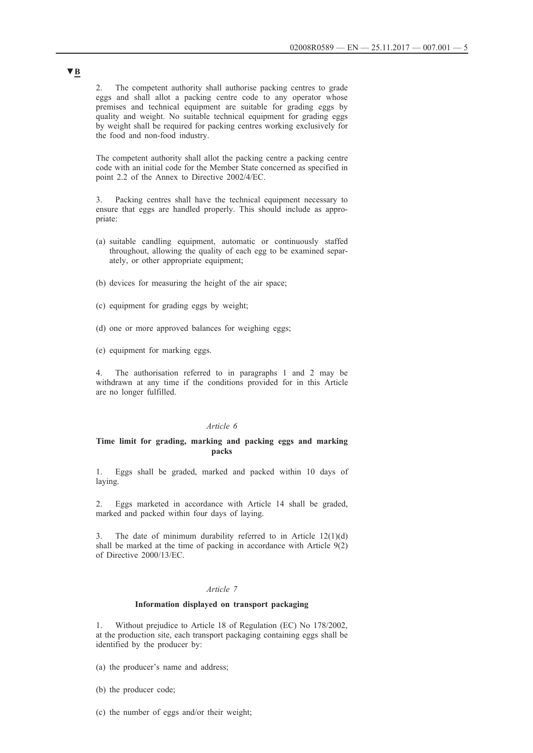2. The competent authority shall authorise packing centres to grade eggs and shall allot a packing centre code to any operator whose premises and technical equipment are suitable for grading eggs by quality and weight. No suitable technical equipment for grading eggs by weight shall be required for packing centres working exclusively for the food and non-food industry.

The competent authority shall allot the packing centre a packing centre code with an initial code for the Member State concerned as specified in point 2.2 of the Annex to Directive 2002/4/EC.

3. Packing centres shall have the technical equipment necessary to ensure that eggs are handled properly. This should include as appropriate:

- (a) suitable candling equipment, automatic or continuously staffed throughout, allowing the quality of each egg to be examined separately, or other appropriate equipment;
- (b) devices for measuring the height of the air space;
- (c) equipment for grading eggs by weight;
- (d) one or more approved balances for weighing eggs;
- (e) equipment for marking eggs.

4. The authorisation referred to in paragraphs 1 and 2 may be withdrawn at any time if the conditions provided for in this Article are no longer fulfilled.

### *Article 6*

#### **Time limit for grading, marking and packing eggs and marking packs**

1. Eggs shall be graded, marked and packed within 10 days of laying.

2. Eggs marketed in accordance with Article 14 shall be graded, marked and packed within four days of laying.

The date of minimum durability referred to in Article  $12(1)(d)$ shall be marked at the time of packing in accordance with Article 9(2) of Directive 2000/13/EC.

### *Article 7*

### **Information displayed on transport packaging**

1. Without prejudice to Article 18 of Regulation (EC) No 178/2002, at the production site, each transport packaging containing eggs shall be identified by the producer by:

(a) the producer's name and address;

- (b) the producer code;
- (c) the number of eggs and/or their weight;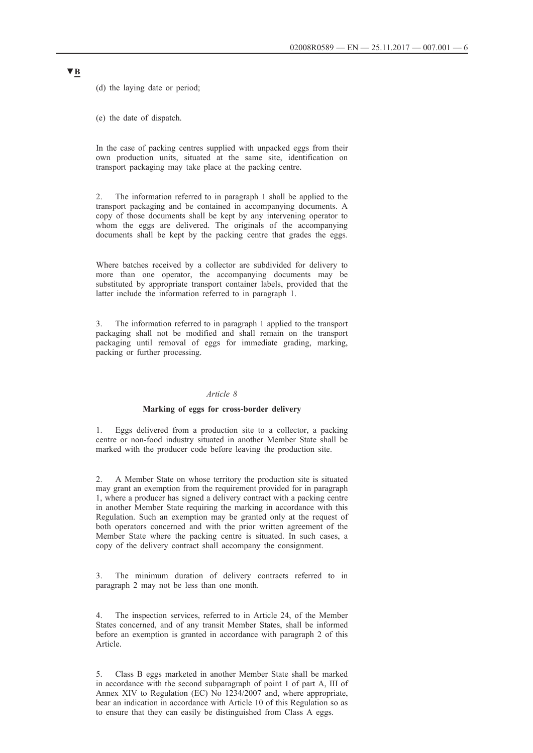(d) the laying date or period;

(e) the date of dispatch.

In the case of packing centres supplied with unpacked eggs from their own production units, situated at the same site, identification on transport packaging may take place at the packing centre.

2. The information referred to in paragraph 1 shall be applied to the transport packaging and be contained in accompanying documents. A copy of those documents shall be kept by any intervening operator to whom the eggs are delivered. The originals of the accompanying documents shall be kept by the packing centre that grades the eggs.

Where batches received by a collector are subdivided for delivery to more than one operator, the accompanying documents may be substituted by appropriate transport container labels, provided that the latter include the information referred to in paragraph 1.

3. The information referred to in paragraph 1 applied to the transport packaging shall not be modified and shall remain on the transport packaging until removal of eggs for immediate grading, marking, packing or further processing.

#### *Article 8*

### **Marking of eggs for cross-border delivery**

1. Eggs delivered from a production site to a collector, a packing centre or non-food industry situated in another Member State shall be marked with the producer code before leaving the production site.

2. A Member State on whose territory the production site is situated may grant an exemption from the requirement provided for in paragraph 1, where a producer has signed a delivery contract with a packing centre in another Member State requiring the marking in accordance with this Regulation. Such an exemption may be granted only at the request of both operators concerned and with the prior written agreement of the Member State where the packing centre is situated. In such cases, a copy of the delivery contract shall accompany the consignment.

3. The minimum duration of delivery contracts referred to in paragraph 2 may not be less than one month.

The inspection services, referred to in Article 24, of the Member States concerned, and of any transit Member States, shall be informed before an exemption is granted in accordance with paragraph 2 of this Article.

5. Class B eggs marketed in another Member State shall be marked in accordance with the second subparagraph of point 1 of part A, III of Annex XIV to Regulation (EC) No 1234/2007 and, where appropriate, bear an indication in accordance with Article 10 of this Regulation so as to ensure that they can easily be distinguished from Class A eggs.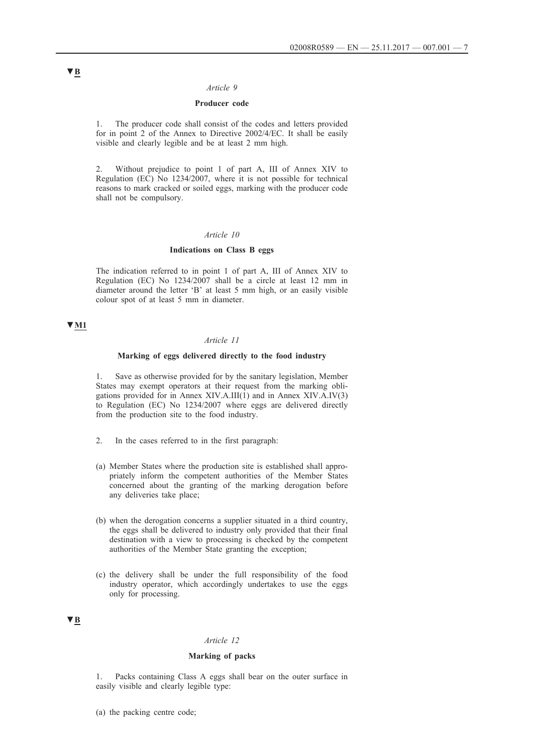### **Producer code**

1. The producer code shall consist of the codes and letters provided for in point 2 of the Annex to Directive 2002/4/EC. It shall be easily visible and clearly legible and be at least 2 mm high.

2. Without prejudice to point 1 of part A, III of Annex XIV to Regulation (EC) No 1234/2007, where it is not possible for technical reasons to mark cracked or soiled eggs, marking with the producer code shall not be compulsory.

### *Article 10*

### **Indications on Class B eggs**

The indication referred to in point 1 of part A, III of Annex XIV to Regulation (EC) No 1234/2007 shall be a circle at least 12 mm in diameter around the letter 'B' at least 5 mm high, or an easily visible colour spot of at least 5 mm in diameter.

#### **▼M1**

### *Article 11*

### **Marking of eggs delivered directly to the food industry**

1. Save as otherwise provided for by the sanitary legislation, Member States may exempt operators at their request from the marking obligations provided for in Annex XIV.A.III(1) and in Annex XIV.A.IV(3) to Regulation (EC) No 1234/2007 where eggs are delivered directly from the production site to the food industry.

- 2. In the cases referred to in the first paragraph:
- (a) Member States where the production site is established shall appropriately inform the competent authorities of the Member States concerned about the granting of the marking derogation before any deliveries take place;
- (b) when the derogation concerns a supplier situated in a third country, the eggs shall be delivered to industry only provided that their final destination with a view to processing is checked by the competent authorities of the Member State granting the exception;
- (c) the delivery shall be under the full responsibility of the food industry operator, which accordingly undertakes to use the eggs only for processing.

### **▼B**

### *Article 12*

### **Marking of packs**

1. Packs containing Class A eggs shall bear on the outer surface in easily visible and clearly legible type:

(a) the packing centre code;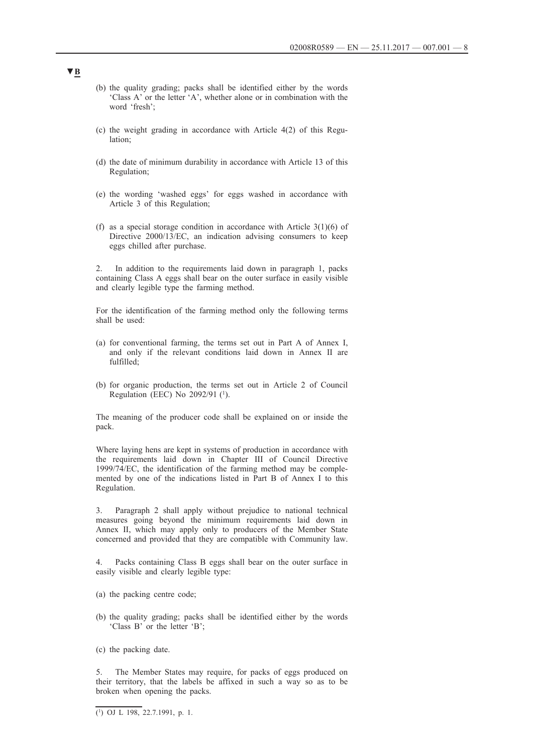- (b) the quality grading; packs shall be identified either by the words 'Class A' or the letter 'A', whether alone or in combination with the word 'fresh';
- (c) the weight grading in accordance with Article 4(2) of this Regulation;
- (d) the date of minimum durability in accordance with Article 13 of this Regulation;
- (e) the wording 'washed eggs' for eggs washed in accordance with Article 3 of this Regulation;
- (f) as a special storage condition in accordance with Article  $3(1)(6)$  of Directive 2000/13/EC, an indication advising consumers to keep eggs chilled after purchase.

2. In addition to the requirements laid down in paragraph 1, packs containing Class A eggs shall bear on the outer surface in easily visible and clearly legible type the farming method.

For the identification of the farming method only the following terms shall be used:

- (a) for conventional farming, the terms set out in Part A of Annex I, and only if the relevant conditions laid down in Annex II are fulfilled;
- (b) for organic production, the terms set out in Article 2 of Council Regulation (EEC) No 2092/91 (1).

The meaning of the producer code shall be explained on or inside the pack.

Where laying hens are kept in systems of production in accordance with the requirements laid down in Chapter III of Council Directive 1999/74/EC, the identification of the farming method may be complemented by one of the indications listed in Part B of Annex I to this Regulation.

3. Paragraph 2 shall apply without prejudice to national technical measures going beyond the minimum requirements laid down in Annex II, which may apply only to producers of the Member State concerned and provided that they are compatible with Community law.

Packs containing Class B eggs shall bear on the outer surface in easily visible and clearly legible type:

- (a) the packing centre code;
- (b) the quality grading; packs shall be identified either by the words 'Class B' or the letter 'B';
- (c) the packing date.

5. The Member States may require, for packs of eggs produced on their territory, that the labels be affixed in such a way so as to be broken when opening the packs.

 $\overline{(^1)}$  OJ L 198, 22.7.1991, p. 1.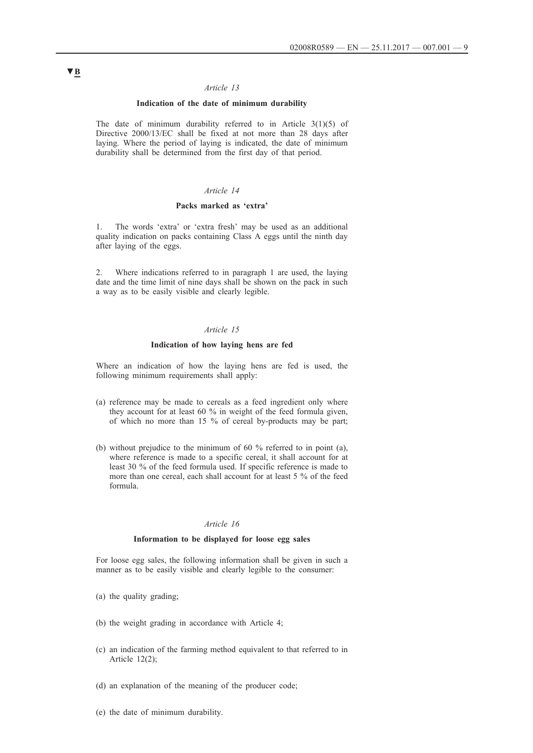### **Indication of the date of minimum durability**

The date of minimum durability referred to in Article  $3(1)(5)$  of Directive 2000/13/EC shall be fixed at not more than 28 days after laying. Where the period of laying is indicated, the date of minimum durability shall be determined from the first day of that period.

### *Article 14*

### **Packs marked as 'extra'**

1. The words 'extra' or 'extra fresh' may be used as an additional quality indication on packs containing Class A eggs until the ninth day after laying of the eggs.

2. Where indications referred to in paragraph 1 are used, the laying date and the time limit of nine days shall be shown on the pack in such a way as to be easily visible and clearly legible.

### *Article 15*

#### **Indication of how laying hens are fed**

Where an indication of how the laying hens are fed is used, the following minimum requirements shall apply:

- (a) reference may be made to cereals as a feed ingredient only where they account for at least 60 % in weight of the feed formula given, of which no more than 15 % of cereal by-products may be part;
- (b) without prejudice to the minimum of 60 % referred to in point (a), where reference is made to a specific cereal, it shall account for at least 30 % of the feed formula used. If specific reference is made to more than one cereal, each shall account for at least 5 % of the feed formula.

#### *Article 16*

#### **Information to be displayed for loose egg sales**

For loose egg sales, the following information shall be given in such a manner as to be easily visible and clearly legible to the consumer:

- (a) the quality grading;
- (b) the weight grading in accordance with Article 4;
- (c) an indication of the farming method equivalent to that referred to in Article 12(2);
- (d) an explanation of the meaning of the producer code;
- (e) the date of minimum durability.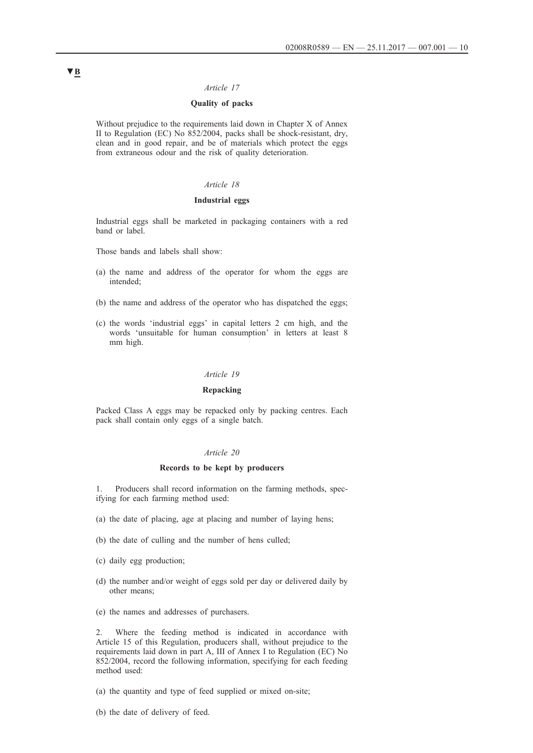### **Quality of packs**

Without prejudice to the requirements laid down in Chapter X of Annex II to Regulation (EC) No 852/2004, packs shall be shock-resistant, dry, clean and in good repair, and be of materials which protect the eggs from extraneous odour and the risk of quality deterioration.

### *Article 18*

### **Industrial eggs**

Industrial eggs shall be marketed in packaging containers with a red band or label.

Those bands and labels shall show:

- (a) the name and address of the operator for whom the eggs are intended;
- (b) the name and address of the operator who has dispatched the eggs;
- (c) the words 'industrial eggs' in capital letters 2 cm high, and the words 'unsuitable for human consumption' in letters at least 8 mm high.

#### *Article 19*

### **Repacking**

Packed Class A eggs may be repacked only by packing centres. Each pack shall contain only eggs of a single batch.

#### *Article 20*

### **Records to be kept by producers**

1. Producers shall record information on the farming methods, specifying for each farming method used:

- (a) the date of placing, age at placing and number of laying hens;
- (b) the date of culling and the number of hens culled;
- (c) daily egg production;
- (d) the number and/or weight of eggs sold per day or delivered daily by other means;
- (e) the names and addresses of purchasers.

2. Where the feeding method is indicated in accordance with Article 15 of this Regulation, producers shall, without prejudice to the requirements laid down in part A, III of Annex I to Regulation (EC) No 852/2004, record the following information, specifying for each feeding method used:

- (a) the quantity and type of feed supplied or mixed on-site;
- (b) the date of delivery of feed.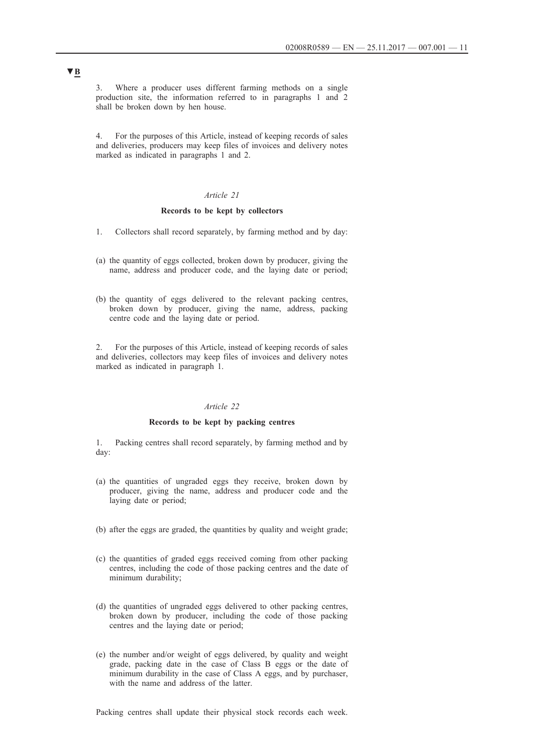3. Where a producer uses different farming methods on a single production site, the information referred to in paragraphs 1 and 2 shall be broken down by hen house.

4. For the purposes of this Article, instead of keeping records of sales and deliveries, producers may keep files of invoices and delivery notes marked as indicated in paragraphs 1 and 2.

#### *Article 21*

### **Records to be kept by collectors**

- 1. Collectors shall record separately, by farming method and by day:
- (a) the quantity of eggs collected, broken down by producer, giving the name, address and producer code, and the laying date or period;
- (b) the quantity of eggs delivered to the relevant packing centres, broken down by producer, giving the name, address, packing centre code and the laying date or period.

2. For the purposes of this Article, instead of keeping records of sales and deliveries, collectors may keep files of invoices and delivery notes marked as indicated in paragraph 1.

### *Article 22*

### **Records to be kept by packing centres**

1. Packing centres shall record separately, by farming method and by day:

- (a) the quantities of ungraded eggs they receive, broken down by producer, giving the name, address and producer code and the laying date or period;
- (b) after the eggs are graded, the quantities by quality and weight grade;
- (c) the quantities of graded eggs received coming from other packing centres, including the code of those packing centres and the date of minimum durability;
- (d) the quantities of ungraded eggs delivered to other packing centres, broken down by producer, including the code of those packing centres and the laying date or period;
- (e) the number and/or weight of eggs delivered, by quality and weight grade, packing date in the case of Class B eggs or the date of minimum durability in the case of Class A eggs, and by purchaser, with the name and address of the latter.

Packing centres shall update their physical stock records each week.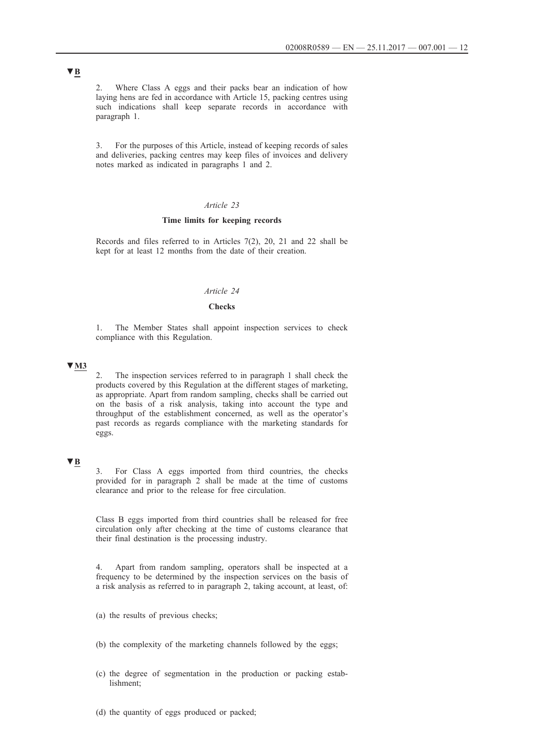2. Where Class A eggs and their packs bear an indication of how laying hens are fed in accordance with Article 15, packing centres using such indications shall keep separate records in accordance with paragraph 1.

3. For the purposes of this Article, instead of keeping records of sales and deliveries, packing centres may keep files of invoices and delivery notes marked as indicated in paragraphs 1 and 2.

### *Article 23*

### **Time limits for keeping records**

Records and files referred to in Articles 7(2), 20, 21 and 22 shall be kept for at least 12 months from the date of their creation.

### *Article 24*

### **Checks**

1. The Member States shall appoint inspection services to check compliance with this Regulation.

### **▼M3**

2. The inspection services referred to in paragraph 1 shall check the products covered by this Regulation at the different stages of marketing, as appropriate. Apart from random sampling, checks shall be carried out on the basis of a risk analysis, taking into account the type and throughput of the establishment concerned, as well as the operator's past records as regards compliance with the marketing standards for eggs.

### **▼B**

3. For Class A eggs imported from third countries, the checks provided for in paragraph 2 shall be made at the time of customs clearance and prior to the release for free circulation.

Class B eggs imported from third countries shall be released for free circulation only after checking at the time of customs clearance that their final destination is the processing industry.

4. Apart from random sampling, operators shall be inspected at a frequency to be determined by the inspection services on the basis of a risk analysis as referred to in paragraph 2, taking account, at least, of:

(a) the results of previous checks;

(b) the complexity of the marketing channels followed by the eggs;

- (c) the degree of segmentation in the production or packing establishment;
- (d) the quantity of eggs produced or packed;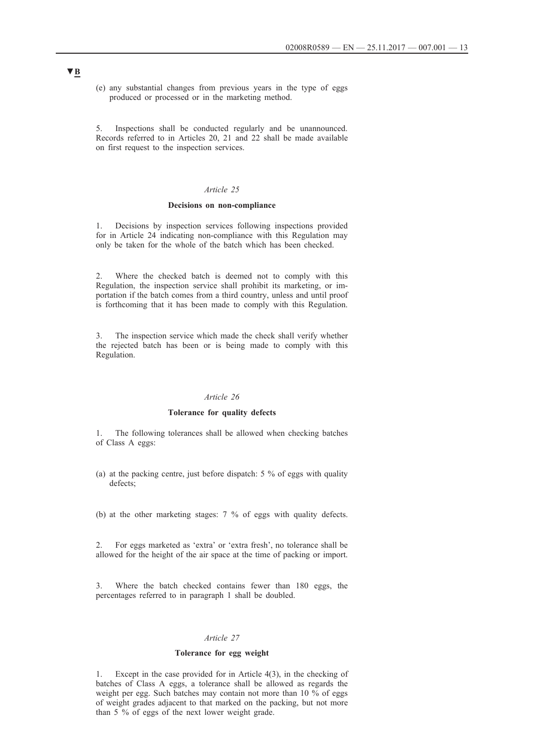(e) any substantial changes from previous years in the type of eggs produced or processed or in the marketing method.

5. Inspections shall be conducted regularly and be unannounced. Records referred to in Articles 20, 21 and 22 shall be made available on first request to the inspection services.

### *Article 25*

#### **Decisions on non-compliance**

1. Decisions by inspection services following inspections provided for in Article 24 indicating non-compliance with this Regulation may only be taken for the whole of the batch which has been checked.

2. Where the checked batch is deemed not to comply with this Regulation, the inspection service shall prohibit its marketing, or importation if the batch comes from a third country, unless and until proof is forthcoming that it has been made to comply with this Regulation.

3. The inspection service which made the check shall verify whether the rejected batch has been or is being made to comply with this Regulation.

### *Article 26*

### **Tolerance for quality defects**

1. The following tolerances shall be allowed when checking batches of Class A eggs:

(a) at the packing centre, just before dispatch: 5 % of eggs with quality defects;

(b) at the other marketing stages: 7 % of eggs with quality defects.

2. For eggs marketed as 'extra' or 'extra fresh', no tolerance shall be allowed for the height of the air space at the time of packing or import.

3. Where the batch checked contains fewer than 180 eggs, the percentages referred to in paragraph 1 shall be doubled.

#### *Article 27*

### **Tolerance for egg weight**

1. Except in the case provided for in Article 4(3), in the checking of batches of Class A eggs, a tolerance shall be allowed as regards the weight per egg. Such batches may contain not more than 10 % of eggs of weight grades adjacent to that marked on the packing, but not more than 5 % of eggs of the next lower weight grade.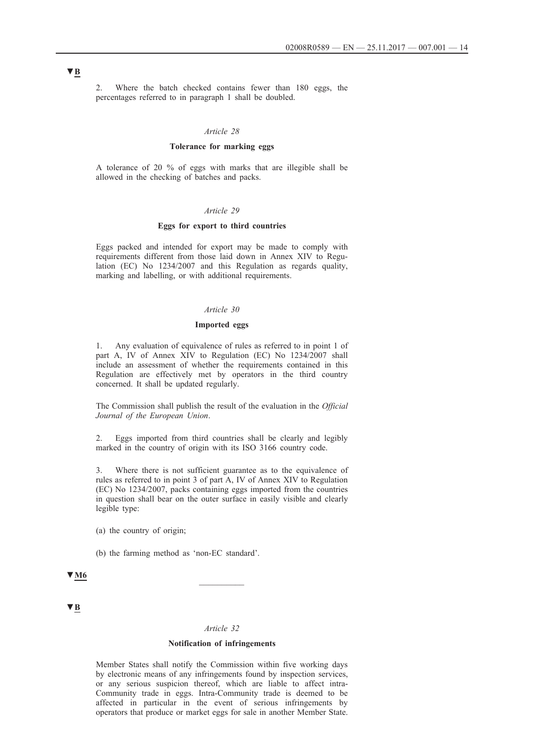2. Where the batch checked contains fewer than 180 eggs, the percentages referred to in paragraph 1 shall be doubled.

### *Article 28*

#### **Tolerance for marking eggs**

A tolerance of 20 % of eggs with marks that are illegible shall be allowed in the checking of batches and packs.

### *Article 29*

### **Eggs for export to third countries**

Eggs packed and intended for export may be made to comply with requirements different from those laid down in Annex XIV to Regulation (EC) No 1234/2007 and this Regulation as regards quality, marking and labelling, or with additional requirements.

### *Article 30*

#### **Imported eggs**

1. Any evaluation of equivalence of rules as referred to in point 1 of part A, IV of Annex XIV to Regulation (EC) No 1234/2007 shall include an assessment of whether the requirements contained in this Regulation are effectively met by operators in the third country concerned. It shall be updated regularly.

The Commission shall publish the result of the evaluation in the *Official Journal of the European Union*.

2. Eggs imported from third countries shall be clearly and legibly marked in the country of origin with its ISO 3166 country code.

3. Where there is not sufficient guarantee as to the equivalence of rules as referred to in point 3 of part A, IV of Annex XIV to Regulation (EC) No 1234/2007, packs containing eggs imported from the countries in question shall bear on the outer surface in easily visible and clearly legible type:

(a) the country of origin;

(b) the farming method as 'non-EC standard'.

# **▼M6** \_\_\_\_\_\_\_\_\_\_

**▼B**

#### *Article 32*

#### **Notification of infringements**

Member States shall notify the Commission within five working days by electronic means of any infringements found by inspection services, or any serious suspicion thereof, which are liable to affect intra-Community trade in eggs. Intra-Community trade is deemed to be affected in particular in the event of serious infringements by operators that produce or market eggs for sale in another Member State.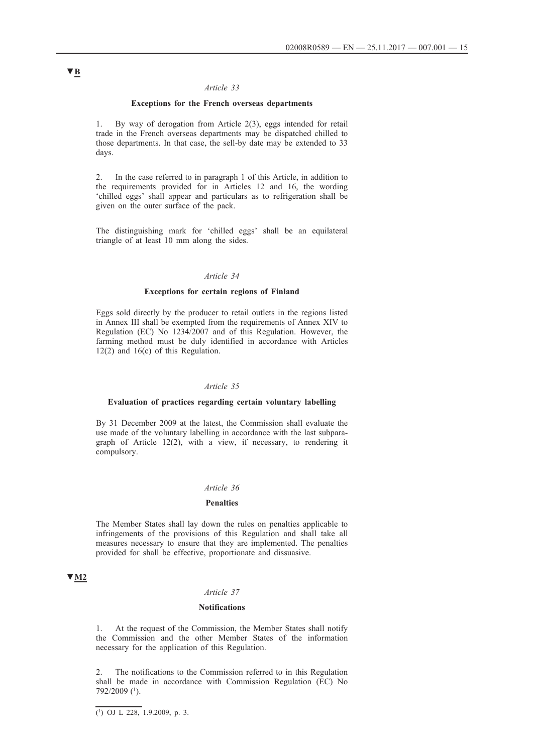### **Exceptions for the French overseas departments**

1. By way of derogation from Article 2(3), eggs intended for retail trade in the French overseas departments may be dispatched chilled to those departments. In that case, the sell-by date may be extended to 33 days.

2. In the case referred to in paragraph 1 of this Article, in addition to the requirements provided for in Articles 12 and 16, the wording 'chilled eggs' shall appear and particulars as to refrigeration shall be given on the outer surface of the pack.

The distinguishing mark for 'chilled eggs' shall be an equilateral triangle of at least 10 mm along the sides.

#### *Article 34*

#### **Exceptions for certain regions of Finland**

Eggs sold directly by the producer to retail outlets in the regions listed in Annex III shall be exempted from the requirements of Annex XIV to Regulation (EC) No 1234/2007 and of this Regulation. However, the farming method must be duly identified in accordance with Articles 12(2) and 16(c) of this Regulation.

### *Article 35*

#### **Evaluation of practices regarding certain voluntary labelling**

By 31 December 2009 at the latest, the Commission shall evaluate the use made of the voluntary labelling in accordance with the last subparagraph of Article 12(2), with a view, if necessary, to rendering it compulsory.

### *Article 36*

### **Penalties**

The Member States shall lay down the rules on penalties applicable to infringements of the provisions of this Regulation and shall take all measures necessary to ensure that they are implemented. The penalties provided for shall be effective, proportionate and dissuasive.

### **▼M2**

### *Article 37*

#### **Notifications**

1. At the request of the Commission, the Member States shall notify the Commission and the other Member States of the information necessary for the application of this Regulation.

2. The notifications to the Commission referred to in this Regulation shall be made in accordance with Commission Regulation (EC) No 792/2009 (1).

 $\overline{(\text{1}) \text{ OJ L } 228}$ , 1.9.2009, p. 3.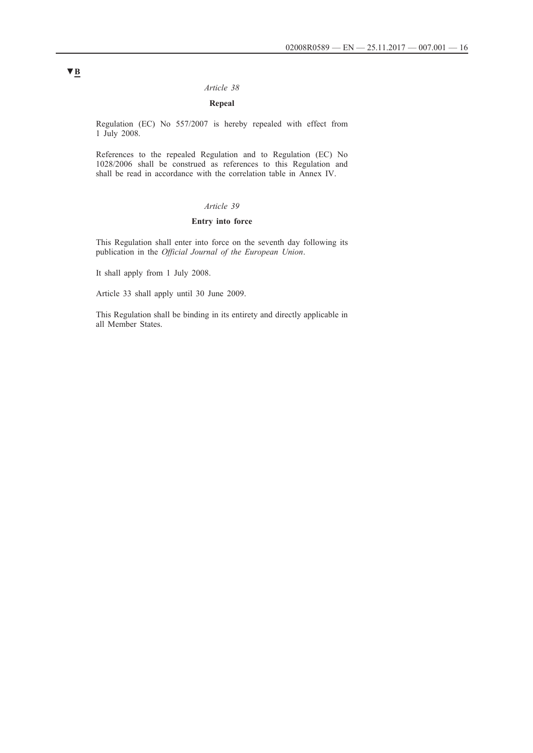### **Repeal**

Regulation (EC) No 557/2007 is hereby repealed with effect from 1 July 2008.

References to the repealed Regulation and to Regulation (EC) No 1028/2006 shall be construed as references to this Regulation and shall be read in accordance with the correlation table in Annex IV.

### *Article 39*

### **Entry into force**

This Regulation shall enter into force on the seventh day following its publication in the *Official Journal of the European Union*.

It shall apply from 1 July 2008.

Article 33 shall apply until 30 June 2009.

This Regulation shall be binding in its entirety and directly applicable in all Member States.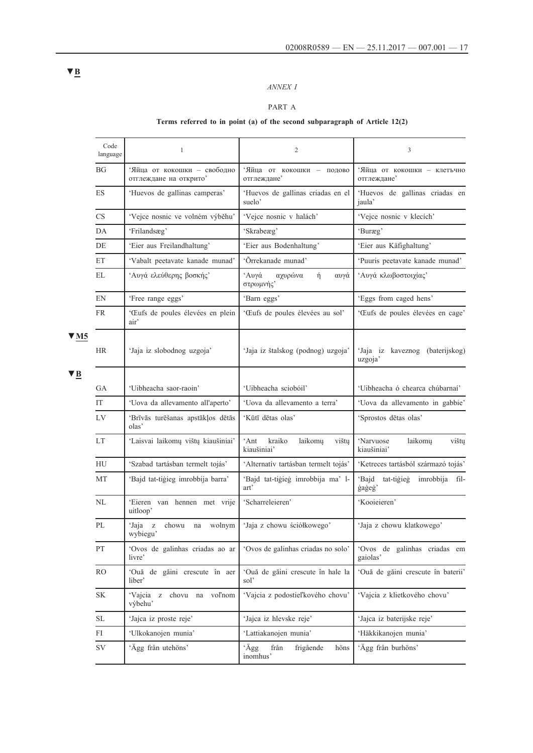## *ANNEX I*

### PART A

## **Terms referred to in point (a) of the second subparagraph of Article 12(2)**

|                                                   | Code<br>language | 1                                                     | 2                                                 | 3                                               |
|---------------------------------------------------|------------------|-------------------------------------------------------|---------------------------------------------------|-------------------------------------------------|
|                                                   | <b>BG</b>        | 'Яйца от кокошки - свободно<br>отглеждане на открито' | 'Яйца от кокошки - подово<br>отглеждане'          | 'Яйца от кокошки - клетъчно<br>отглеждане'      |
|                                                   | ES               | 'Huevos de gallinas camperas'                         | 'Huevos de gallinas criadas en el<br>suelo'       | 'Huevos de gallinas criadas en<br>jaula'        |
|                                                   | CS               | 'Vejce nosnic ve volném výběhu'                       | 'Vejce nosnic v halách'                           | 'Vejce nosnic v klecích'                        |
|                                                   | DA               | 'Frilandsæg'                                          | 'Skrabeæg'                                        | 'Buræg'                                         |
|                                                   | DE               | 'Eier aus Freilandhaltung'                            | 'Eier aus Bodenhaltung'                           | 'Eier aus Käfighaltung'                         |
|                                                   | ET               | 'Vabalt peetavate kanade munad'                       | 'Õrrekanade munad'                                | 'Puuris peetavate kanade munad'                 |
|                                                   | EL               | Αυγά ελεύθερης βοσκής'                                | <i>'Αυγά</i><br>αχυρώνα<br>ή<br>αυγά<br>στρωμνής' | Αυγά κλωβοστοιχίας'                             |
|                                                   | EN               | 'Free range eggs'                                     | 'Barn eggs'                                       | 'Eggs from caged hens'                          |
| $\blacktriangledown$ M5<br>$\blacktriangledown$ B | <b>FR</b>        | 'Œufs de poules élevées en plein<br>air'              | 'Œufs de poules élevées au sol'                   | 'Œufs de poules élevées en cage'                |
|                                                   | HR               | 'Jaja iz slobodnog uzgoja'                            | 'Jaja iz štalskog (podnog) uzgoja'                | 'Jaja iz kaveznog (baterijskog)<br>uzgoja'      |
|                                                   | GA               | 'Uibheacha saor-raoin'                                | 'Uibheacha sciobóil'                              | 'Uibheacha ó chearca chúbarnaí'                 |
|                                                   | IT               | 'Uova da allevamento all'aperto'                      | 'Uova da allevamento a terra'                     | 'Uova da allevamento in gabbie'                 |
|                                                   | LV               | 'Brīvās turēšanas apstākļos dētās<br>olas'            | 'Kūtī dētas olas'                                 | 'Sprostos dētas olas'                           |
|                                                   | <b>LT</b>        | 'Laisvai laikomų vištų kiaušiniai'                    | 'Ant<br>kraiko<br>laikomu<br>vištų<br>kiaušiniai' | 'Narvuose<br>laikomu<br>vištų<br>kiaušiniai'    |
|                                                   | HU               | 'Szabad tartásban termelt tojás'                      | 'Alternatív tartásban termelt tojás'              | 'Ketreces tartásból származó tojás'             |
|                                                   | MT               | 'Bajd tat-tigieg imrobbija barra'                     | 'Bajd tat-tigieg imrobbija ma' l-<br>art'         | 'Bajd<br>tat-tiģieģ<br>imrobbija fil-<br>gageg' |
|                                                   | NL               | 'Eieren van hennen met vrije<br>uitloop'              | 'Scharreleieren'                                  | 'Kooieieren'                                    |
|                                                   | PL               | 'Jaja z<br>chowu<br>wolnym<br>na<br>wybiegu'          | 'Jaja z chowu ściółkowego'                        | 'Jaja z chowu klatkowego'                       |
|                                                   | PT               | 'Ovos de galinhas criadas ao ar<br>livre'             | 'Ovos de galinhas criadas no solo'                | 'Ovos de galinhas criadas em<br>gaiolas'        |
|                                                   | RO.              | 'Ouă de găini crescute în aer<br>liber'               | 'Ouă de găini crescute în hale la<br>sol          | 'Ouă de găini crescute în baterii'              |
|                                                   | $\rm SK$         | 'Vajcia z chovu na voľnom<br>výbehu'                  | 'Vajcia z podostieľkového chovu'                  | 'Vajcia z klietkového chovu'                    |
|                                                   | SL               | 'Jajca iz proste reje'                                | 'Jajca iz hlevske reje'                           | 'Jajca iz baterijske reje'                      |
|                                                   | FI               | 'Ulkokanojen munia'                                   | 'Lattiakanojen munia'                             | 'Häkkikanojen munia'                            |
|                                                   | $\mathrm{SV}$    | 'Ägg från utehöns'                                    | 'Ägg<br>från<br>frigående<br>höns<br>inomhus'     | 'Ägg från burhöns'                              |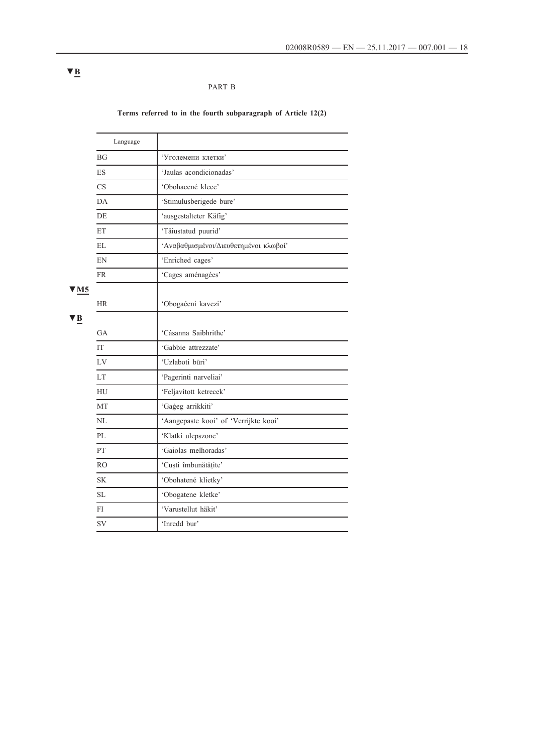## PART B

## **Terms referred to in the fourth subparagraph of Article 12(2)**

|                         | Language       |                                       |
|-------------------------|----------------|---------------------------------------|
|                         | BGF            | 'Уголемени клетки'                    |
|                         | <b>ES</b>      | 'Jaulas acondicionadas'               |
|                         | CS             | 'Obohacené klece'                     |
|                         | DA             | 'Stimulusberigede bure'               |
|                         | DE             | 'ausgestalteter Käfig'                |
|                         | ET             | 'Täiustatud puurid'                   |
|                         | <b>EL</b>      | 'Αναβαθμισμένοι/Διευθετημένοι κλωβοί' |
|                         | EN             | 'Enriched cages'                      |
|                         | <b>FR</b>      | 'Cages aménagées'                     |
| $\blacktriangledown$ M5 |                |                                       |
|                         | <b>HR</b>      | 'Obogaćeni kavezi'                    |
| l В                     |                |                                       |
|                         | <b>GA</b>      | 'Cásanna Saibhrithe'                  |
|                         | IT             | 'Gabbie attrezzate'                   |
|                         | LV             | 'Uzlaboti būri'                       |
|                         | <b>LT</b>      | 'Pagerinti narveliai'                 |
|                         | HU             | 'Feljavított ketrecek'                |
|                         | MT             | 'Gageg arrikkiti'                     |
|                         | NL             | 'Aangepaste kooi' of 'Verrijkte kooi' |
|                         | PL             | 'Klatki ulepszone'                    |
|                         | PT.            | 'Gaiolas melhoradas'                  |
|                         | R <sub>O</sub> | 'Cuști îmbunătățite'                  |
|                         | SK.            | 'Obohatené klietky'                   |
|                         | <b>SL</b>      | 'Obogatene kletke'                    |
|                         | FI             | 'Varustellut häkit'                   |
|                         | SV             | 'Inredd bur'                          |

# **▼B**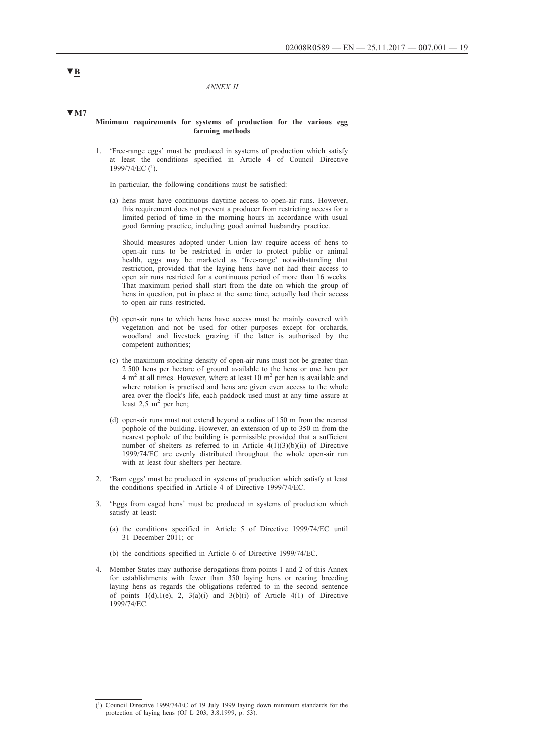*ANNEX II*

### **▼M7**

#### **Minimum requirements for systems of production for the various egg farming methods**

1. 'Free-range eggs' must be produced in systems of production which satisfy at least the conditions specified in Article 4 of Council Directive 1999/74/EC (1).

In particular, the following conditions must be satisfied:

(a) hens must have continuous daytime access to open-air runs. However, this requirement does not prevent a producer from restricting access for a limited period of time in the morning hours in accordance with usual good farming practice, including good animal husbandry practice.

Should measures adopted under Union law require access of hens to open-air runs to be restricted in order to protect public or animal health, eggs may be marketed as 'free-range' notwithstanding that restriction, provided that the laying hens have not had their access to open air runs restricted for a continuous period of more than 16 weeks. That maximum period shall start from the date on which the group of hens in question, put in place at the same time, actually had their access to open air runs restricted.

- (b) open-air runs to which hens have access must be mainly covered with vegetation and not be used for other purposes except for orchards, woodland and livestock grazing if the latter is authorised by the competent authorities;
- (c) the maximum stocking density of open-air runs must not be greater than 2 500 hens per hectare of ground available to the hens or one hen per  $4 \text{ m}^2$  at all times. However, where at least 10 m<sup>2</sup> per hen is available and where rotation is practised and hens are given even access to the whole area over the flock's life, each paddock used must at any time assure at least  $2.5 \text{ m}^2$  per hen;
- (d) open-air runs must not extend beyond a radius of 150 m from the nearest pophole of the building. However, an extension of up to 350 m from the nearest pophole of the building is permissible provided that a sufficient number of shelters as referred to in Article  $4(1)(3)(b)(ii)$  of Directive 1999/74/EC are evenly distributed throughout the whole open-air run with at least four shelters per hectare.
- 2. 'Barn eggs' must be produced in systems of production which satisfy at least the conditions specified in Article 4 of Directive 1999/74/EC.
- 3. 'Eggs from caged hens' must be produced in systems of production which satisfy at least:
	- (a) the conditions specified in Article 5 of Directive 1999/74/EC until 31 December 2011; or
	- (b) the conditions specified in Article 6 of Directive 1999/74/EC.
- 4. Member States may authorise derogations from points 1 and 2 of this Annex for establishments with fewer than 350 laying hens or rearing breeding laying hens as regards the obligations referred to in the second sentence of points  $1(d),1(e), 2, 3(a)(i)$  and  $3(b)(i)$  of Article 4(1) of Directive 1999/74/EC.

<sup>(1)</sup> Council Directive 1999/74/EC of 19 July 1999 laying down minimum standards for the protection of laying hens (OJ L 203, 3.8.1999, p. 53).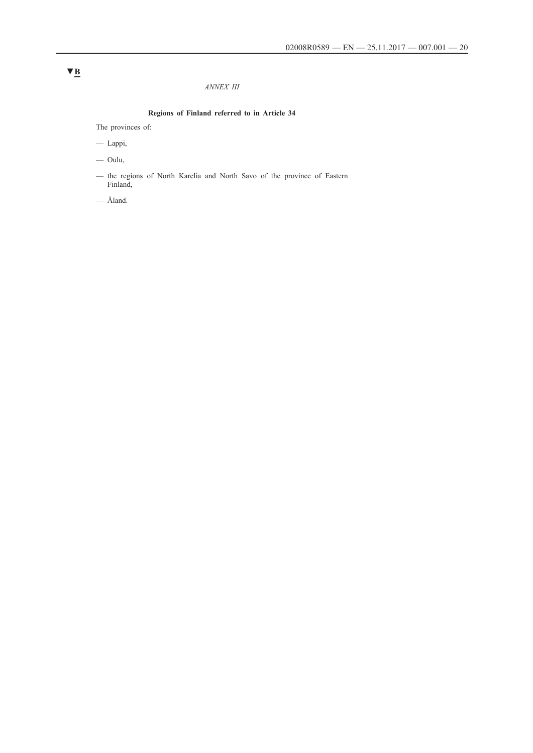### *ANNEX III*

## **Regions of Finland referred to in Article 34**

The provinces of:

— Lappi,

— Oulu,

— the regions of North Karelia and North Savo of the province of Eastern Finland,

— Åland.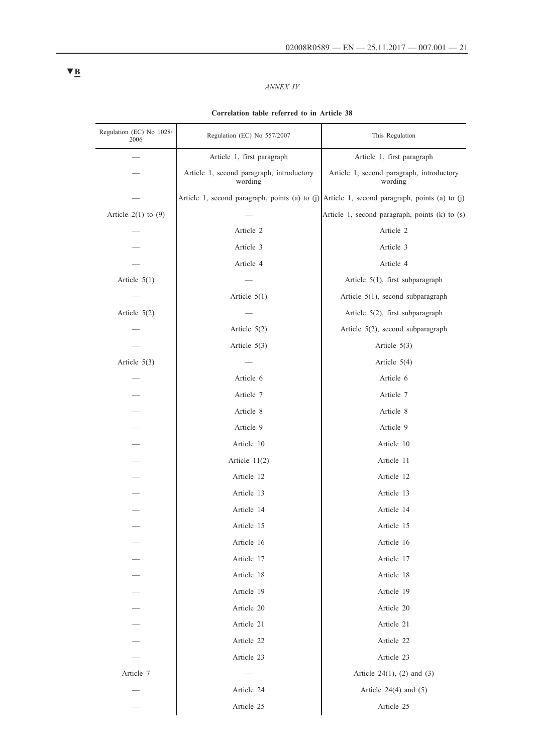## *ANNEX IV*

### **Correlation table referred to in Article 38**

| Regulation (EC) No 1028/<br>2006 | Regulation (EC) No 557/2007                          | This Regulation                                                                                   |
|----------------------------------|------------------------------------------------------|---------------------------------------------------------------------------------------------------|
|                                  | Article 1, first paragraph                           | Article 1, first paragraph                                                                        |
|                                  | Article 1, second paragraph, introductory<br>wording | Article 1, second paragraph, introductory<br>wording                                              |
|                                  |                                                      | Article 1, second paragraph, points (a) to $(j)$ Article 1, second paragraph, points (a) to $(j)$ |
| Article $2(1)$ to $(9)$          |                                                      | Article 1, second paragraph, points (k) to (s)                                                    |
|                                  | Article 2                                            | Article 2                                                                                         |
|                                  | Article 3                                            | Article 3                                                                                         |
|                                  | Article 4                                            | Article 4                                                                                         |
| Article $5(1)$                   |                                                      | Article 5(1), first subparagraph                                                                  |
|                                  | Article $5(1)$                                       | Article 5(1), second subparagraph                                                                 |
| Article $5(2)$                   |                                                      | Article 5(2), first subparagraph                                                                  |
|                                  | Article $5(2)$                                       | Article 5(2), second subparagraph                                                                 |
|                                  | Article $5(3)$                                       | Article $5(3)$                                                                                    |
| Article $5(3)$                   |                                                      | Article $5(4)$                                                                                    |
|                                  | Article 6                                            | Article 6                                                                                         |
|                                  | Article 7                                            | Article 7                                                                                         |
|                                  | Article 8                                            | Article 8                                                                                         |
|                                  | Article 9                                            | Article 9                                                                                         |
|                                  | Article 10                                           | Article 10                                                                                        |
|                                  | Article $11(2)$                                      | Article 11                                                                                        |
|                                  | Article 12                                           | Article 12                                                                                        |
|                                  | Article 13                                           | Article 13                                                                                        |
|                                  | Article 14                                           | Article 14                                                                                        |
|                                  | Article 15                                           | Article 15                                                                                        |
|                                  | Article 16                                           | Article 16                                                                                        |
|                                  | Article 17                                           | Article 17                                                                                        |
|                                  | Article 18                                           | Article 18                                                                                        |
|                                  | Article 19                                           | Article 19                                                                                        |
|                                  | Article 20                                           | Article 20                                                                                        |
|                                  | Article 21                                           | Article 21                                                                                        |
|                                  | Article 22                                           | Article 22                                                                                        |
|                                  | Article 23                                           | Article 23                                                                                        |
| Article 7                        |                                                      | Article 24 $(1)$ , $(2)$ and $(3)$                                                                |
|                                  | Article 24                                           | Article $24(4)$ and $(5)$                                                                         |
|                                  | Article 25                                           | Article 25                                                                                        |